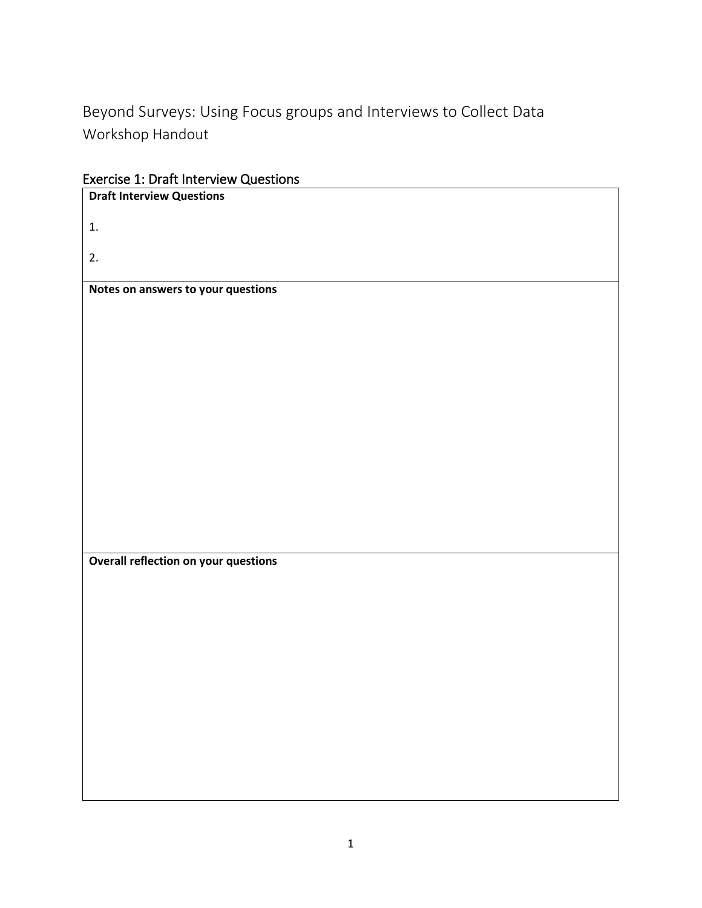Beyond Surveys: Using Focus groups and Interviews to Collect Data Workshop Handout

Exercise 1: Draft Interview Questions

| <b>Draft Interview Questions</b>            |
|---------------------------------------------|
| 1.                                          |
| 2.                                          |
| Notes on answers to your questions          |
|                                             |
|                                             |
|                                             |
|                                             |
|                                             |
|                                             |
|                                             |
|                                             |
|                                             |
|                                             |
|                                             |
| <b>Overall reflection on your questions</b> |
|                                             |
|                                             |
|                                             |
|                                             |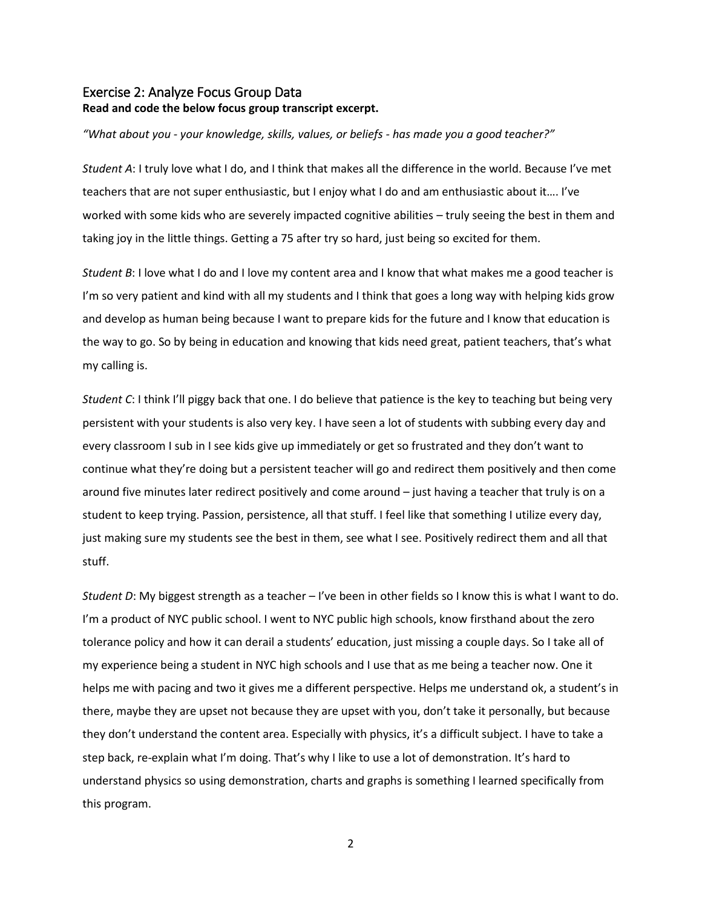## Exercise 2: Analyze Focus Group Data **Read and code the below focus group transcript excerpt.**

## *"What about you - your knowledge, skills, values, or beliefs - has made you a good teacher?"*

*Student A*: I truly love what I do, and I think that makes all the difference in the world. Because I've met teachers that are not super enthusiastic, but I enjoy what I do and am enthusiastic about it…. I've worked with some kids who are severely impacted cognitive abilities – truly seeing the best in them and taking joy in the little things. Getting a 75 after try so hard, just being so excited for them.

*Student B*: I love what I do and I love my content area and I know that what makes me a good teacher is I'm so very patient and kind with all my students and I think that goes a long way with helping kids grow and develop as human being because I want to prepare kids for the future and I know that education is the way to go. So by being in education and knowing that kids need great, patient teachers, that's what my calling is.

*Student C*: I think I'll piggy back that one. I do believe that patience is the key to teaching but being very persistent with your students is also very key. I have seen a lot of students with subbing every day and every classroom I sub in I see kids give up immediately or get so frustrated and they don't want to continue what they're doing but a persistent teacher will go and redirect them positively and then come around five minutes later redirect positively and come around – just having a teacher that truly is on a student to keep trying. Passion, persistence, all that stuff. I feel like that something I utilize every day, just making sure my students see the best in them, see what I see. Positively redirect them and all that stuff.

*Student D*: My biggest strength as a teacher – I've been in other fields so I know this is what I want to do. I'm a product of NYC public school. I went to NYC public high schools, know firsthand about the zero tolerance policy and how it can derail a students' education, just missing a couple days. So I take all of my experience being a student in NYC high schools and I use that as me being a teacher now. One it helps me with pacing and two it gives me a different perspective. Helps me understand ok, a student's in there, maybe they are upset not because they are upset with you, don't take it personally, but because they don't understand the content area. Especially with physics, it's a difficult subject. I have to take a step back, re-explain what I'm doing. That's why I like to use a lot of demonstration. It's hard to understand physics so using demonstration, charts and graphs is something I learned specifically from this program.

2